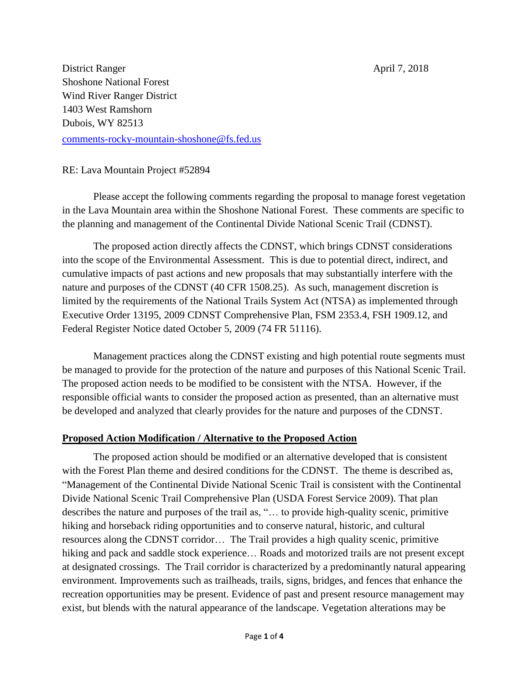District Ranger April 7, 2018 Shoshone National Forest Wind River Ranger District 1403 West Ramshorn Dubois, WY 82513 [comments-rocky-mountain-shoshone@fs.fed.us](mailto:comments-rocky-mountain-shoshone@fs.fed.us)

### RE: Lava Mountain Project #52894

Please accept the following comments regarding the proposal to manage forest vegetation in the Lava Mountain area within the Shoshone National Forest. These comments are specific to the planning and management of the Continental Divide National Scenic Trail (CDNST).

The proposed action directly affects the CDNST, which brings CDNST considerations into the scope of the Environmental Assessment. This is due to potential direct, indirect, and cumulative impacts of past actions and new proposals that may substantially interfere with the nature and purposes of the CDNST (40 CFR 1508.25). As such, management discretion is limited by the requirements of the National Trails System Act (NTSA) as implemented through Executive Order 13195, 2009 CDNST Comprehensive Plan, FSM 2353.4, FSH 1909.12, and Federal Register Notice dated October 5, 2009 (74 FR 51116).

Management practices along the CDNST existing and high potential route segments must be managed to provide for the protection of the nature and purposes of this National Scenic Trail. The proposed action needs to be modified to be consistent with the NTSA. However, if the responsible official wants to consider the proposed action as presented, than an alternative must be developed and analyzed that clearly provides for the nature and purposes of the CDNST.

#### **Proposed Action Modification / Alternative to the Proposed Action**

The proposed action should be modified or an alternative developed that is consistent with the Forest Plan theme and desired conditions for the CDNST. The theme is described as, "Management of the Continental Divide National Scenic Trail is consistent with the Continental Divide National Scenic Trail Comprehensive Plan (USDA Forest Service 2009). That plan describes the nature and purposes of the trail as, "… to provide high-quality scenic, primitive hiking and horseback riding opportunities and to conserve natural, historic, and cultural resources along the CDNST corridor… The Trail provides a high quality scenic, primitive hiking and pack and saddle stock experience... Roads and motorized trails are not present except at designated crossings. The Trail corridor is characterized by a predominantly natural appearing environment. Improvements such as trailheads, trails, signs, bridges, and fences that enhance the recreation opportunities may be present. Evidence of past and present resource management may exist, but blends with the natural appearance of the landscape. Vegetation alterations may be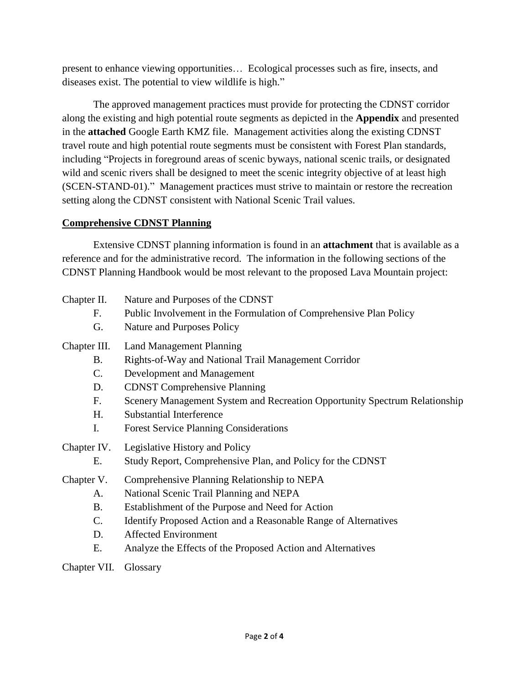present to enhance viewing opportunities… Ecological processes such as fire, insects, and diseases exist. The potential to view wildlife is high."

The approved management practices must provide for protecting the CDNST corridor along the existing and high potential route segments as depicted in the **Appendix** and presented in the **attached** Google Earth KMZ file. Management activities along the existing CDNST travel route and high potential route segments must be consistent with Forest Plan standards, including "Projects in foreground areas of scenic byways, national scenic trails, or designated wild and scenic rivers shall be designed to meet the scenic integrity objective of at least high (SCEN-STAND-01)." Management practices must strive to maintain or restore the recreation setting along the CDNST consistent with National Scenic Trail values.

## **Comprehensive CDNST Planning**

Extensive CDNST planning information is found in an **attachment** that is available as a reference and for the administrative record. The information in the following sections of the CDNST Planning Handbook would be most relevant to the proposed Lava Mountain project:

# Chapter II. Nature and Purposes of the CDNST

- F. Public Involvement in the Formulation of Comprehensive Plan Policy
- G. Nature and Purposes Policy

Chapter III. Land Management Planning

- B. Rights-of-Way and National Trail Management Corridor
- C. Development and Management
- D. CDNST Comprehensive Planning
- F. Scenery Management System and Recreation Opportunity Spectrum Relationship
- H. Substantial Interference
- I. Forest Service Planning Considerations
- Chapter IV. Legislative History and Policy
	- E. Study Report, Comprehensive Plan, and Policy for the CDNST
- Chapter V. Comprehensive Planning Relationship to NEPA
	- A. National Scenic Trail Planning and NEPA
	- B. Establishment of the Purpose and Need for Action
	- C. Identify Proposed Action and a Reasonable Range of Alternatives
	- D. Affected Environment
	- E. Analyze the Effects of the Proposed Action and Alternatives

Chapter VII. Glossary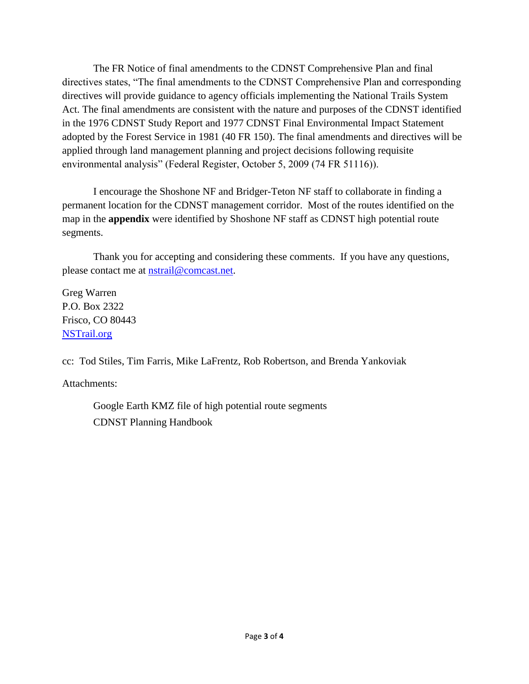The FR Notice of final amendments to the CDNST Comprehensive Plan and final directives states, "The final amendments to the CDNST Comprehensive Plan and corresponding directives will provide guidance to agency officials implementing the National Trails System Act. The final amendments are consistent with the nature and purposes of the CDNST identified in the 1976 CDNST Study Report and 1977 CDNST Final Environmental Impact Statement adopted by the Forest Service in 1981 (40 FR 150). The final amendments and directives will be applied through land management planning and project decisions following requisite environmental analysis" (Federal Register, October 5, 2009 (74 FR 51116)).

I encourage the Shoshone NF and Bridger-Teton NF staff to collaborate in finding a permanent location for the CDNST management corridor. Most of the routes identified on the map in the **appendix** were identified by Shoshone NF staff as CDNST high potential route segments.

Thank you for accepting and considering these comments. If you have any questions, please contact me at [nstrail@comcast.net.](mailto:nstrail@comcast.net)

Greg Warren P.O. Box 2322 Frisco, CO 80443 [NSTrail.org](http://nstrail.org/)

cc: Tod Stiles, Tim Farris, Mike LaFrentz, Rob Robertson, and Brenda Yankoviak

Attachments:

Google Earth KMZ file of high potential route segments CDNST Planning Handbook